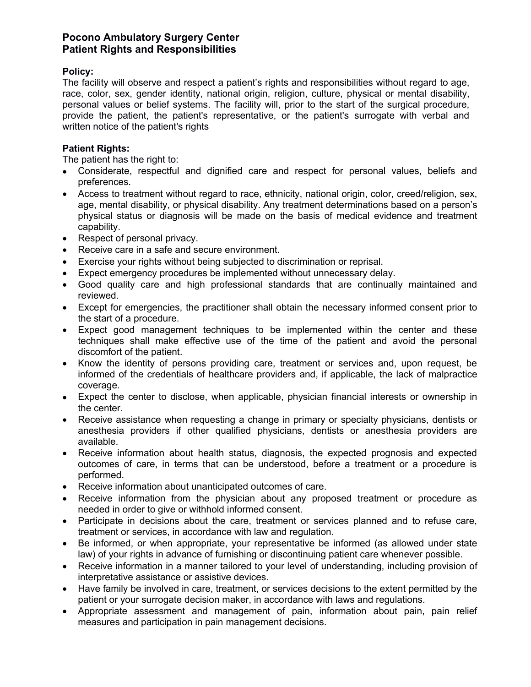## **Pocono Ambulatory Surgery Center Patient Rights and Responsibilities**

## **Policy:**

The facility will observe and respect a patient's rights and responsibilities without regard to age, race, color, sex, gender identity, national origin, religion, culture, physical or mental disability, personal values or belief systems. The facility will, prior to the start of the surgical procedure, provide the patient, the patient's representative, or the patient's surrogate with verbal and written notice of the patient's rights

## **Patient Rights:**

The patient has the right to:

- Considerate, respectful and dignified care and respect for personal values, beliefs and preferences.
- Access to treatment without regard to race, ethnicity, national origin, color, creed/religion, sex, age, mental disability, or physical disability. Any treatment determinations based on a person's physical status or diagnosis will be made on the basis of medical evidence and treatment capability.
- Respect of personal privacy.
- Receive care in a safe and secure environment.
- Exercise your rights without being subjected to discrimination or reprisal.
- Expect emergency procedures be implemented without unnecessary delay.
- Good quality care and high professional standards that are continually maintained and reviewed.
- Except for emergencies, the practitioner shall obtain the necessary informed consent prior to the start of a procedure.
- Expect good management techniques to be implemented within the center and these techniques shall make effective use of the time of the patient and avoid the personal discomfort of the patient.
- Know the identity of persons providing care, treatment or services and, upon request, be informed of the credentials of healthcare providers and, if applicable, the lack of malpractice coverage.
- Expect the center to disclose, when applicable, physician financial interests or ownership in the center.
- Receive assistance when requesting a change in primary or specialty physicians, dentists or anesthesia providers if other qualified physicians, dentists or anesthesia providers are available.
- Receive information about health status, diagnosis, the expected prognosis and expected outcomes of care, in terms that can be understood, before a treatment or a procedure is performed.
- Receive information about unanticipated outcomes of care.
- Receive information from the physician about any proposed treatment or procedure as needed in order to give or withhold informed consent.
- Participate in decisions about the care, treatment or services planned and to refuse care, treatment or services, in accordance with law and regulation.
- Be informed, or when appropriate, your representative be informed (as allowed under state law) of your rights in advance of furnishing or discontinuing patient care whenever possible.
- Receive information in a manner tailored to your level of understanding, including provision of interpretative assistance or assistive devices.
- Have family be involved in care, treatment, or services decisions to the extent permitted by the patient or your surrogate decision maker, in accordance with laws and regulations.
- Appropriate assessment and management of pain, information about pain, pain relief measures and participation in pain management decisions.